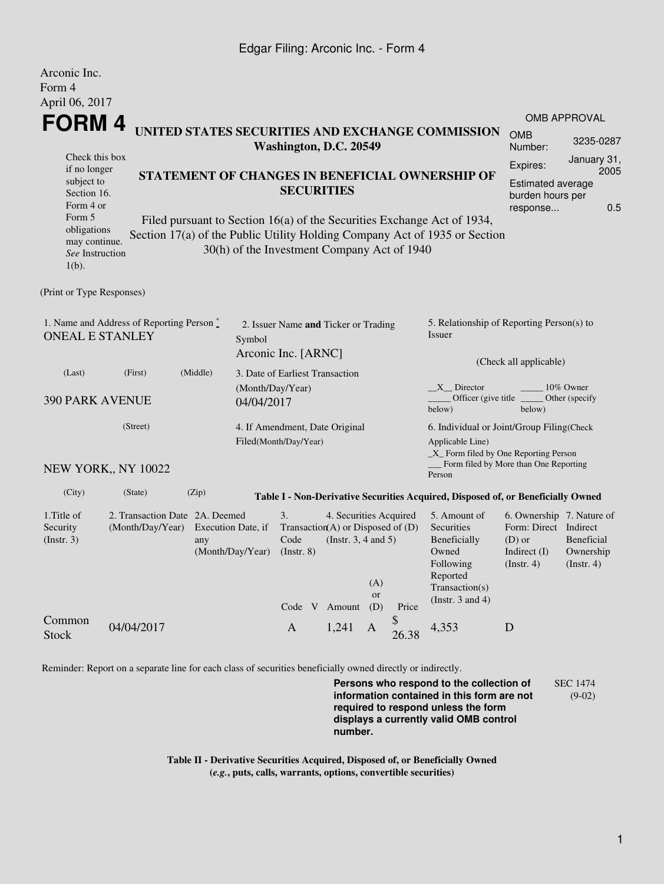## Edgar Filing: Arconic Inc. - Form 4

Arconic Inc.

| <i>L</i> MUULILU LIIU.<br>Form 4<br>April 06, 2017                                                                                                                                                               |                                                                            |                                               |                                 |                                                                         |                                                    |           |                                                                                       |                                                                                                                         |                                                                                                    |                                             |  |  |
|------------------------------------------------------------------------------------------------------------------------------------------------------------------------------------------------------------------|----------------------------------------------------------------------------|-----------------------------------------------|---------------------------------|-------------------------------------------------------------------------|----------------------------------------------------|-----------|---------------------------------------------------------------------------------------|-------------------------------------------------------------------------------------------------------------------------|----------------------------------------------------------------------------------------------------|---------------------------------------------|--|--|
|                                                                                                                                                                                                                  | FORM 4                                                                     |                                               |                                 |                                                                         |                                                    |           |                                                                                       |                                                                                                                         | OMB APPROVAL                                                                                       |                                             |  |  |
|                                                                                                                                                                                                                  | UNITED STATES SECURITIES AND EXCHANGE COMMISSION<br>Washington, D.C. 20549 |                                               |                                 |                                                                         |                                                    |           |                                                                                       |                                                                                                                         | <b>OMB</b><br>Number:                                                                              | 3235-0287                                   |  |  |
| Check this box<br>if no longer<br>STATEMENT OF CHANGES IN BENEFICIAL OWNERSHIP OF<br>subject to<br>Section 16.<br>Form 4 or<br>Form 5<br>Filed pursuant to Section 16(a) of the Securities Exchange Act of 1934, |                                                                            |                                               |                                 | <b>SECURITIES</b>                                                       |                                                    |           |                                                                                       |                                                                                                                         | Expires:<br>Estimated average<br>burden hours per<br>response                                      | January 31,<br>2005<br>0.5                  |  |  |
| obligations<br>may continue.<br>See Instruction<br>$1(b)$ .                                                                                                                                                      |                                                                            |                                               |                                 | 30(h) of the Investment Company Act of 1940                             |                                                    |           |                                                                                       | Section 17(a) of the Public Utility Holding Company Act of 1935 or Section                                              |                                                                                                    |                                             |  |  |
| (Print or Type Responses)                                                                                                                                                                                        |                                                                            |                                               |                                 |                                                                         |                                                    |           |                                                                                       |                                                                                                                         |                                                                                                    |                                             |  |  |
| 1. Name and Address of Reporting Person*<br><b>ONEAL E STANLEY</b><br>Symbol                                                                                                                                     |                                                                            |                                               |                                 | 2. Issuer Name and Ticker or Trading                                    |                                                    |           |                                                                                       | 5. Relationship of Reporting Person(s) to<br>Issuer                                                                     |                                                                                                    |                                             |  |  |
|                                                                                                                                                                                                                  |                                                                            |                                               |                                 | Arconic Inc. [ARNC]                                                     |                                                    |           |                                                                                       | (Check all applicable)                                                                                                  |                                                                                                    |                                             |  |  |
| (First)<br>(Middle)<br>(Last)<br>(Month/Day/Year)<br><b>390 PARK AVENUE</b><br>04/04/2017                                                                                                                        |                                                                            |                                               | 3. Date of Earliest Transaction |                                                                         |                                                    |           | X Director<br>10% Owner<br>Officer (give title)<br>Other (specify<br>below)<br>below) |                                                                                                                         |                                                                                                    |                                             |  |  |
| (Street)                                                                                                                                                                                                         |                                                                            |                                               |                                 | 4. If Amendment, Date Original<br>Filed(Month/Day/Year)                 |                                                    |           |                                                                                       | 6. Individual or Joint/Group Filing(Check<br>Applicable Line)<br>$\_X$ Form filed by One Reporting Person               |                                                                                                    |                                             |  |  |
|                                                                                                                                                                                                                  | NEW YORK,, NY 10022                                                        |                                               |                                 |                                                                         |                                                    |           |                                                                                       | Form filed by More than One Reporting<br>Person                                                                         |                                                                                                    |                                             |  |  |
| (City)                                                                                                                                                                                                           | (State)                                                                    | (Zip)                                         |                                 |                                                                         |                                                    |           |                                                                                       | Table I - Non-Derivative Securities Acquired, Disposed of, or Beneficially Owned                                        |                                                                                                    |                                             |  |  |
| 1. Title of<br>Security<br>$($ Instr. 3 $)$                                                                                                                                                                      | 2. Transaction Date 2A. Deemed<br>(Month/Day/Year)                         | Execution Date, if<br>any<br>(Month/Day/Year) |                                 | 3.<br>Transaction $(A)$ or Disposed of $(D)$<br>Code<br>$($ Instr. $8)$ | 4. Securities Acquired<br>(Instr. $3, 4$ and $5$ ) | (A)<br>or |                                                                                       | 5. Amount of<br>Securities<br>Beneficially<br>Owned<br>Following<br>Reported<br>Transaction(s)<br>(Instr. $3$ and $4$ ) | 6. Ownership 7. Nature of<br>Form: Direct Indirect<br>$(D)$ or<br>Indirect (I)<br>$($ Instr. 4 $)$ | Beneficial<br>Ownership<br>$($ Instr. 4 $)$ |  |  |
| Common<br><b>Stock</b>                                                                                                                                                                                           | 04/04/2017                                                                 |                                               |                                 | Code V Amount<br>A                                                      | 1,241                                              | (D)<br>A  | Price<br>26.38                                                                        | 4.353                                                                                                                   | D                                                                                                  |                                             |  |  |

Reminder: Report on a separate line for each class of securities beneficially owned directly or indirectly.

**Persons who respond to the collection of information contained in this form are not required to respond unless the form displays a currently valid OMB control number.** SEC 1474 (9-02)

**Table II - Derivative Securities Acquired, Disposed of, or Beneficially Owned (***e.g.***, puts, calls, warrants, options, convertible securities)**